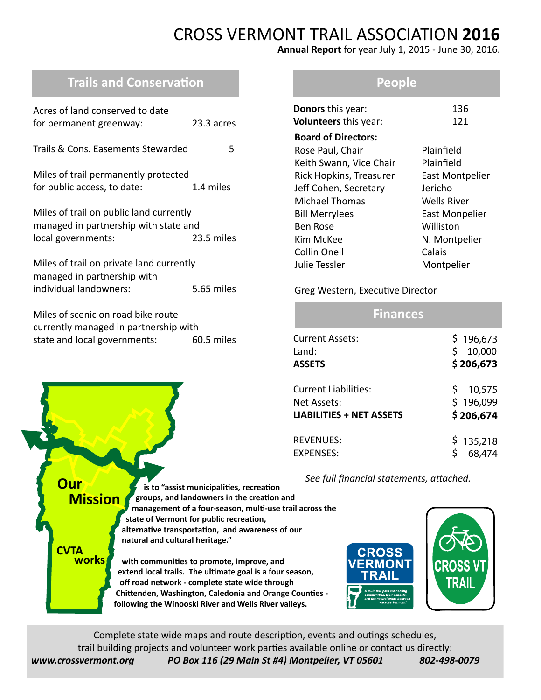# CROSS VERMONT TRAIL ASSOCIATION **2016**

**Annual Report** for year July 1, 2015 - June 30, 2016.

# **Trails and Conservation**

| Acres of land conserved to date<br>for permanent greenway:                                                           | 23.3 acres |  |  |  |
|----------------------------------------------------------------------------------------------------------------------|------------|--|--|--|
| Trails & Cons. Easements Stewarded                                                                                   | 5          |  |  |  |
| Miles of trail permanently protected<br>for public access, to date:                                                  | 1.4 miles  |  |  |  |
| Miles of trail on public land currently<br>managed in partnership with state and<br>local governments:<br>23.5 miles |            |  |  |  |
| Miles of trail on private land currently<br>managed in partnership with<br>individual landowners:                    | 5.65 miles |  |  |  |
| Miles of scenic on road bike route<br>currently managed in partnership with<br>state and local governments:          | 60.5 miles |  |  |  |

#### **People**

| <b>Donors</b> this year:   | 136                    |
|----------------------------|------------------------|
| Volunteers this year:      | 121                    |
| <b>Board of Directors:</b> |                        |
| Rose Paul, Chair           | Plainfield             |
| Keith Swann, Vice Chair    | Plainfield             |
| Rick Hopkins, Treasurer    | <b>East Montpelier</b> |
| Jeff Cohen, Secretary      | Jericho                |
| <b>Michael Thomas</b>      | Wells River            |
| <b>Bill Merrylees</b>      | <b>East Monpelier</b>  |
| <b>Ben Rose</b>            | Williston              |
| Kim McKee                  | N. Montpelier          |
| <b>Collin Oneil</b>        | Calais                 |
| Julie Tessler              | Montpelier             |
|                            |                        |

#### Greg Western, Executive Director

| <b>Finances</b>                           |                                        |
|-------------------------------------------|----------------------------------------|
| Current Assets:<br>Land:<br><b>ASSETS</b> | \$196,673<br>10,000<br>\$<br>\$206,673 |
| Current Liabilities:                      | \$10,575                               |
| Net Assets:                               | \$196,099                              |
| <b>LIABILITIES + NET ASSETS</b>           | \$206,674                              |
| <b>REVENUES:</b>                          | \$135,218                              |
| <b>FXPFNSFS:</b>                          | 68,474                                 |

 *See full financial statements, attached.*



Complete state wide maps and route description, events and outings schedules, trail building projects and volunteer work parties available online or contact us directly: *www.crossvermont.org PO Box 116 (29 Main St #4) Montpelier, VT 05601 802-498-0079*

**Our Mission**

**CVTA works**

 **is to "assist municipalities, recreation groups, and landowners in the creation and management of a four-season, multi-use trail across the state of Vermont for public recreation, alternative transportation, and awareness of our natural and cultural heritage."**

 **with communities to promote, improve, and extend local trails. The ultimate goal is a four season, off road network - complete state wide through Chittenden, Washington, Caledonia and Orange Counties following the Winooski River and Wells River valleys.**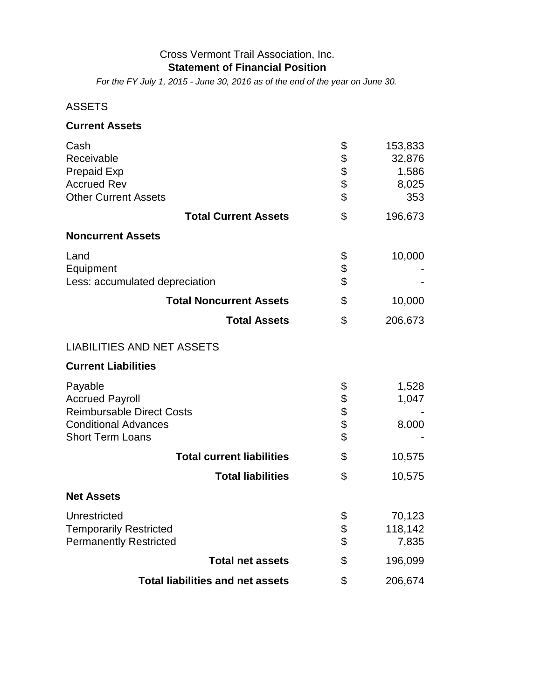#### Cross Vermont Trail Association, Inc. **Statement of Financial Position**

*For the FY July 1, 2015 - June 30, 2016 as of the end of the year on June 30.*

### ASSETS

#### **Current Assets**

| Cash<br>Receivable<br><b>Prepaid Exp</b><br><b>Accrued Rev</b><br><b>Other Current Assets</b>                                   | \$<br>\$\$<br>\$ | 153,833<br>32,876<br>1,586<br>8,025<br>353 |  |  |
|---------------------------------------------------------------------------------------------------------------------------------|------------------|--------------------------------------------|--|--|
| <b>Total Current Assets</b>                                                                                                     | \$               | 196,673                                    |  |  |
| <b>Noncurrent Assets</b>                                                                                                        |                  |                                            |  |  |
| Land<br>Equipment<br>Less: accumulated depreciation                                                                             | \$<br>\$         | 10,000                                     |  |  |
| <b>Total Noncurrent Assets</b>                                                                                                  | \$               | 10,000                                     |  |  |
| <b>Total Assets</b>                                                                                                             | \$               | 206,673                                    |  |  |
| <b>LIABILITIES AND NET ASSETS</b>                                                                                               |                  |                                            |  |  |
| <b>Current Liabilities</b>                                                                                                      |                  |                                            |  |  |
| Payable<br><b>Accrued Payroll</b><br><b>Reimbursable Direct Costs</b><br><b>Conditional Advances</b><br><b>Short Term Loans</b> | \$<br>\$\$\$\$   | 1,528<br>1,047<br>8,000                    |  |  |
| <b>Total current liabilities</b>                                                                                                | \$               | 10,575                                     |  |  |
| <b>Total liabilities</b>                                                                                                        | \$               | 10,575                                     |  |  |
| <b>Net Assets</b>                                                                                                               |                  |                                            |  |  |
| Unrestricted<br><b>Temporarily Restricted</b><br><b>Permanently Restricted</b>                                                  | \$<br>\$<br>\$   | 70,123<br>118,142<br>7,835                 |  |  |
| <b>Total net assets</b>                                                                                                         | \$               | 196,099                                    |  |  |
| <b>Total liabilities and net assets</b>                                                                                         | \$               | 206,674                                    |  |  |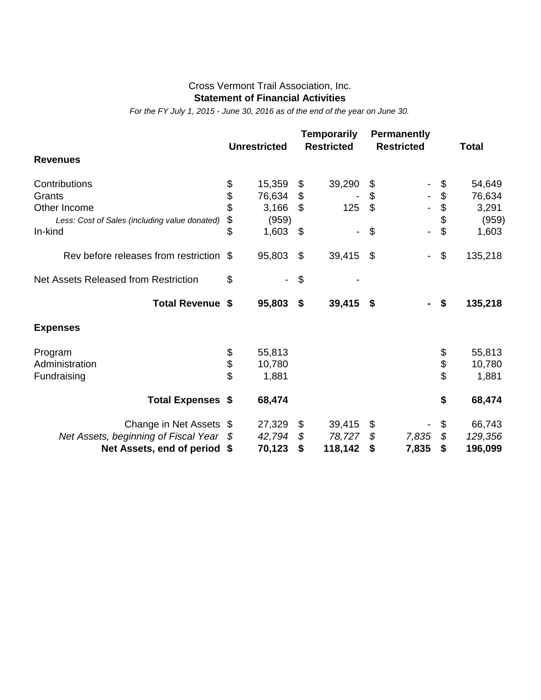#### Cross Vermont Trail Association, Inc. **Statement of Financial Activities**

*For the FY July 1, 2015 - June 30, 2016 as of the end of the year on June 30.*

|                                               | <b>Unrestricted</b> | <b>Temporarily</b><br><b>Restricted</b> |                           | <b>Permanently</b><br><b>Restricted</b> | <b>Total</b>  |
|-----------------------------------------------|---------------------|-----------------------------------------|---------------------------|-----------------------------------------|---------------|
| <b>Revenues</b>                               |                     |                                         |                           |                                         |               |
| Contributions                                 | \$<br>15,359        | \$<br>39,290                            | \$                        |                                         | \$<br>54,649  |
| Grants                                        | \$<br>76,634        | \$                                      | \$                        |                                         | \$<br>76,634  |
| Other Income                                  | \$<br>3,166         | \$<br>125                               | $\boldsymbol{\mathsf{S}}$ |                                         | \$<br>3,291   |
| Less: Cost of Sales (including value donated) | \$<br>(959)         |                                         |                           |                                         | \$<br>(959)   |
| In-kind                                       | \$<br>1,603         | \$<br>$\blacksquare$                    | \$                        | $\overline{\phantom{a}}$                | \$<br>1,603   |
| Rev before releases from restriction          | \$<br>95,803        | \$<br>39,415                            | \$                        | $\overline{\phantom{a}}$                | \$<br>135,218 |
| Net Assets Released from Restriction          | \$                  | \$                                      |                           |                                         |               |
| Total Revenue \$                              | 95,803              | \$<br>39,415                            | \$                        |                                         | \$<br>135,218 |
| <b>Expenses</b>                               |                     |                                         |                           |                                         |               |
| Program                                       | \$<br>55,813        |                                         |                           |                                         | \$<br>55,813  |
| Administration                                | \$<br>10,780        |                                         |                           |                                         | \$<br>10,780  |
| Fundraising                                   | \$<br>1,881         |                                         |                           |                                         | \$<br>1,881   |
| <b>Total Expenses \$</b>                      | 68,474              |                                         |                           |                                         | \$<br>68,474  |
| Change in Net Assets \$                       | 27,329              | \$<br>39,415                            | \$                        |                                         | \$<br>66,743  |
| Net Assets, beginning of Fiscal Year          | \$<br>42,794        | \$<br>78,727                            | \$                        | 7,835                                   | \$<br>129,356 |
| Net Assets, end of period                     | \$<br>70,123        | \$<br>118,142                           | \$                        | 7,835                                   | \$<br>196,099 |